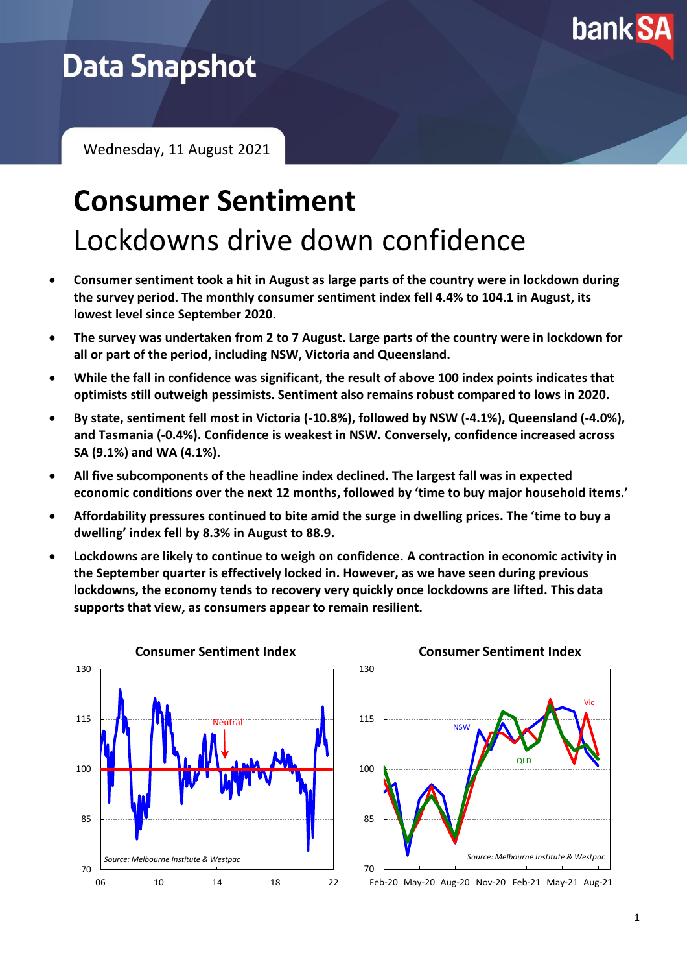

# **Data Snapshot**

February 2021

Wednesday, 11 August 2021

# **Consumer Sentiment** Lockdowns drive down confidence

- **Consumer sentiment took a hit in August as large parts of the country were in lockdown during the survey period. The monthly consumer sentiment index fell 4.4% to 104.1 in August, its lowest level since September 2020.**
- **The survey was undertaken from 2 to 7 August. Large parts of the country were in lockdown for all or part of the period, including NSW, Victoria and Queensland.**
- **While the fall in confidence was significant, the result of above 100 index points indicates that optimists still outweigh pessimists. Sentiment also remains robust compared to lows in 2020.**
- **By state, sentiment fell most in Victoria (-10.8%), followed by NSW (-4.1%), Queensland (-4.0%), and Tasmania (-0.4%). Confidence is weakest in NSW. Conversely, confidence increased across SA (9.1%) and WA (4.1%).**
- **All five subcomponents of the headline index declined. The largest fall was in expected economic conditions over the next 12 months, followed by 'time to buy major household items.'**
- **Affordability pressures continued to bite amid the surge in dwelling prices. The 'time to buy a dwelling' index fell by 8.3% in August to 88.9.**
- **Lockdowns are likely to continue to weigh on confidence. A contraction in economic activity in the September quarter is effectively locked in. However, as we have seen during previous lockdowns, the economy tends to recovery very quickly once lockdowns are lifted. This data supports that view, as consumers appear to remain resilient.**



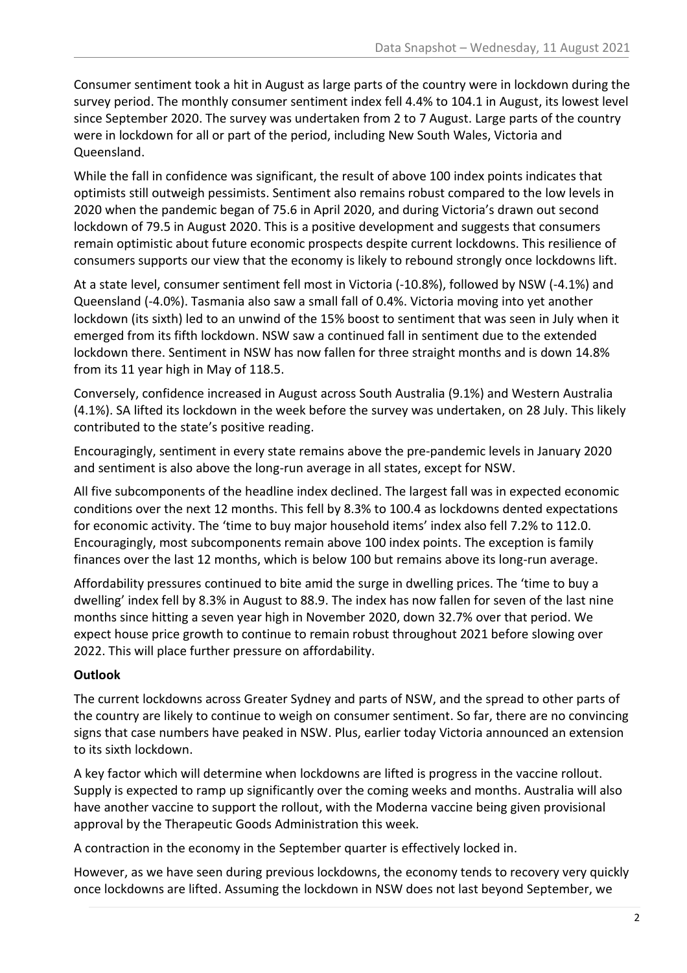Consumer sentiment took a hit in August as large parts of the country were in lockdown during the survey period. The monthly consumer sentiment index fell 4.4% to 104.1 in August, its lowest level since September 2020. The survey was undertaken from 2 to 7 August. Large parts of the country were in lockdown for all or part of the period, including New South Wales, Victoria and Queensland.

While the fall in confidence was significant, the result of above 100 index points indicates that optimists still outweigh pessimists. Sentiment also remains robust compared to the low levels in 2020 when the pandemic began of 75.6 in April 2020, and during Victoria's drawn out second lockdown of 79.5 in August 2020. This is a positive development and suggests that consumers remain optimistic about future economic prospects despite current lockdowns. This resilience of consumers supports our view that the economy is likely to rebound strongly once lockdowns lift.

At a state level, consumer sentiment fell most in Victoria (-10.8%), followed by NSW (-4.1%) and Queensland (-4.0%). Tasmania also saw a small fall of 0.4%. Victoria moving into yet another lockdown (its sixth) led to an unwind of the 15% boost to sentiment that was seen in July when it emerged from its fifth lockdown. NSW saw a continued fall in sentiment due to the extended lockdown there. Sentiment in NSW has now fallen for three straight months and is down 14.8% from its 11 year high in May of 118.5.

Conversely, confidence increased in August across South Australia (9.1%) and Western Australia (4.1%). SA lifted its lockdown in the week before the survey was undertaken, on 28 July. This likely contributed to the state's positive reading.

Encouragingly, sentiment in every state remains above the pre-pandemic levels in January 2020 and sentiment is also above the long-run average in all states, except for NSW.

All five subcomponents of the headline index declined. The largest fall was in expected economic conditions over the next 12 months. This fell by 8.3% to 100.4 as lockdowns dented expectations for economic activity. The 'time to buy major household items' index also fell 7.2% to 112.0. Encouragingly, most subcomponents remain above 100 index points. The exception is family finances over the last 12 months, which is below 100 but remains above its long-run average.

Affordability pressures continued to bite amid the surge in dwelling prices. The 'time to buy a dwelling' index fell by 8.3% in August to 88.9. The index has now fallen for seven of the last nine months since hitting a seven year high in November 2020, down 32.7% over that period. We expect house price growth to continue to remain robust throughout 2021 before slowing over 2022. This will place further pressure on affordability.

## **Outlook**

The current lockdowns across Greater Sydney and parts of NSW, and the spread to other parts of the country are likely to continue to weigh on consumer sentiment. So far, there are no convincing signs that case numbers have peaked in NSW. Plus, earlier today Victoria announced an extension to its sixth lockdown.

A key factor which will determine when lockdowns are lifted is progress in the vaccine rollout. Supply is expected to ramp up significantly over the coming weeks and months. Australia will also have another vaccine to support the rollout, with the Moderna vaccine being given provisional approval by the Therapeutic Goods Administration this week.

A contraction in the economy in the September quarter is effectively locked in.

However, as we have seen during previous lockdowns, the economy tends to recovery very quickly once lockdowns are lifted. Assuming the lockdown in NSW does not last beyond September, we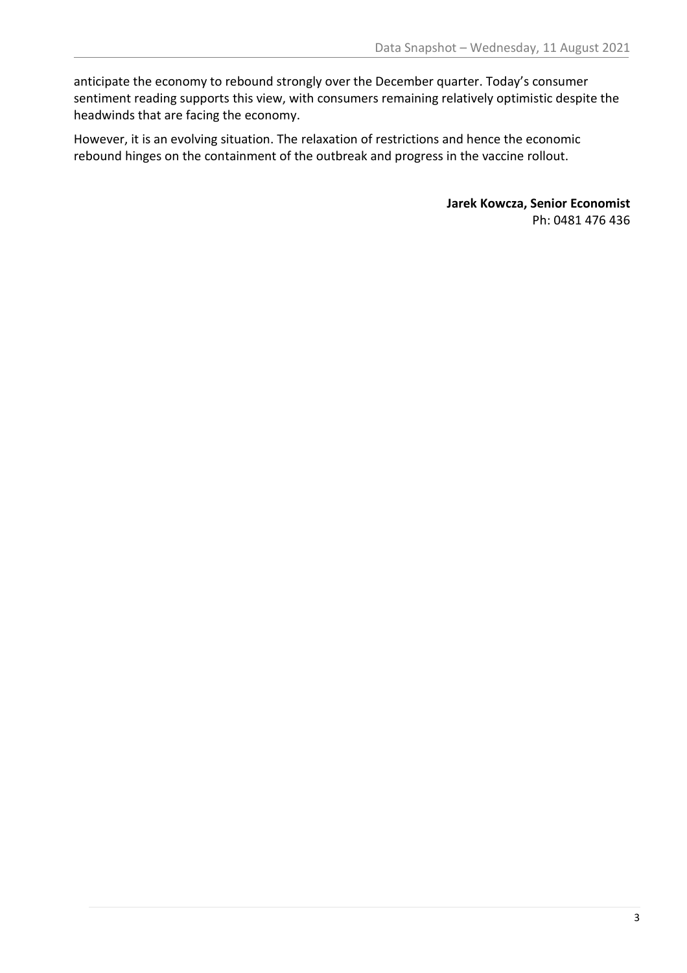anticipate the economy to rebound strongly over the December quarter. Today's consumer sentiment reading supports this view, with consumers remaining relatively optimistic despite the headwinds that are facing the economy.

However, it is an evolving situation. The relaxation of restrictions and hence the economic rebound hinges on the containment of the outbreak and progress in the vaccine rollout.

> **Jarek Kowcza, Senior Economist** Ph: 0481 476 436